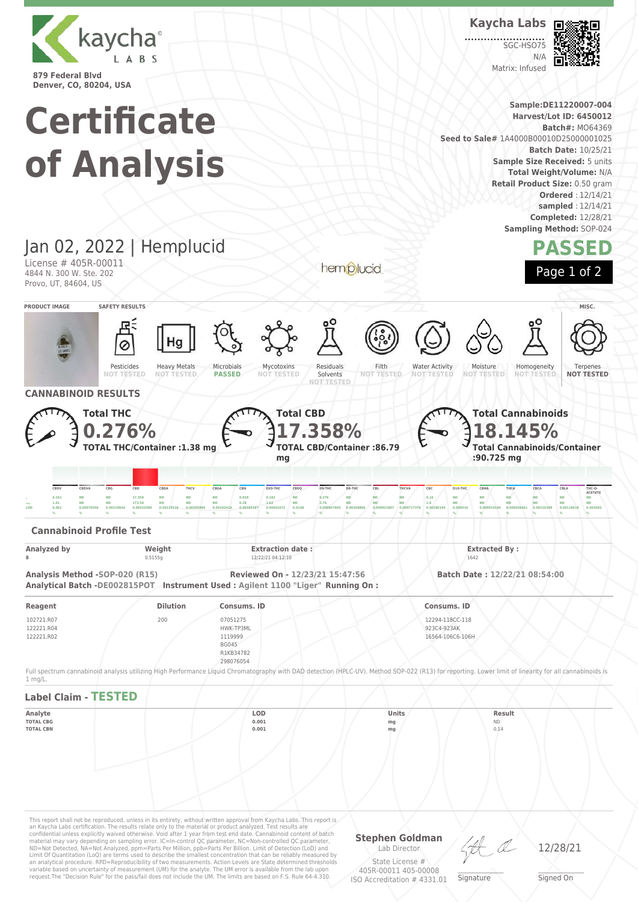

**Kaycha Labs**

SGC-HSO7  $N/L$ Matrix: Infused



Terpenes **NOT TESTED**

**ACETATE**

**Sample:DE11220007-004 Certificate Harvest/Lot ID: 6450012 Batch#:** MO64369 **Seed to Sale#** 1A4000B00010D25000001025 **Batch Date:** 10/25/21 **of Analysis Sample Size Received:** 5 units **Total Weight/Volume:** N/A **Retail Product Size:** 0.50 gram **Ordered** : 12/14/21 **sampled** : 12/14/21 **Completed:** 12/28/21 **Sampling Method:** SOP-024 Jan 02, 2022 | Hemplucid **PASSED** License # 405R-00011 hemplucid Page 1 of 2 4844 N. 300 W. Ste. 202 Provo, UT, 84604, US **PRODUCT IMAGE SAFETY RESULTS MISC.** Pesticides Heavy Metals Microbials Mycotoxins Residuals Filth Water Activity Moisture Homogeneity **NOT TESTED NOT TESTED NOT TESTED PASSED NOT TESTED** Solvents **NOT NOT TESTED NOT TESTED NOT TESTED CANNABINOID RESULTS Total Cannabinoids Total THC Total CBD 0.276% 17.358% 18.145% TOTAL CBD/Container :86.79 Total Cannabinoids/Container TOTAL THC/Container :1.38 mg :90.725 mg mg** CBDV CBDVA CBG CBD CBDA THCV CBGA CBN EXO-THC CBDQ D9-THC D8-THC CBL THCVA CBC D10-THC CBNA THCA CBCA CBLA THC-O , 0.161 ND ND 17.358 ND ND ND 0.028 0.162 ND 0.276 ND ND ND 0.16 ND ND ND ND ND ND ND ND ND <sub>====</sub> 1.61 ND ND 173.58 ND ND ND 0.28 1.62 ND 2.76 ND ND ND 1.6 ND ND ND ND ND ND ND ND  $\,$  0.001  $\,$  0.00070559 0.00219044 0.00333396 0.00125116 0.00205806 0.00192419 0.00183167 0.00401072 0.0148 0.000847945 0.000847945 0.000921807 0.0009717378 0.00268194 0.0005344 0.000910194 0.000458461 0.0021199 0.0014 **% % % % % % % % % % % % % % % % % % % % % Cannabinoid Profile Test Analyzed by Weight Extraction date : Extracted By : 8** 0.5155g 12/22/21 04:12:10 1642

**Analysis Method -SOP-020 (R15) Reviewed On - 12/23/21 15:47:56 Batch Date : 12/22/21 08:54:00 Analytical Batch -DE002815POT Instrument Used : Agilent 1100 "Liger" Running On :**

request.The "Decision Rule" for the pass/fail does not include the UM. The limits are based on F.S. Rule 64-4.310.

| Reagent                                | <b>Dilution</b> | Consums. ID                      | Consums, ID                                        |
|----------------------------------------|-----------------|----------------------------------|----------------------------------------------------|
| 102721.R07<br>122221.R04<br>122221.R02 | 200             | 07051275<br>HWK-TP3ML<br>1119999 | 12294-118CC-118<br>923C4-923AK<br>16564-106C6-106H |
|                                        |                 | <b>BG045</b>                     |                                                    |
|                                        |                 | R1KB34782<br>298076054           |                                                    |

Full spectrum cannabinoid analysis utilizing High Performance Liquid Chromatography with DAD detection (HPLC-UV). Method SOP-022 (R13) for reporting. Lower limit of linearity for all cannabinoids is 1 mg/L.



ISO Accreditation # 4331.01

Signed On

 $\_\_\_\_\_\_\_\_\_\_\_\_\_\_$ **Signature**